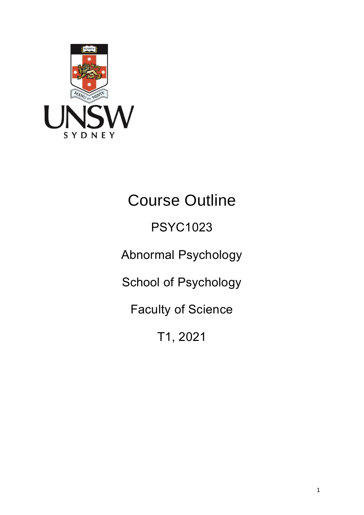

# Course Outline

## PSYC1023

Abnormal Psychology

School of Psychology

Faculty of Science

T1, 2021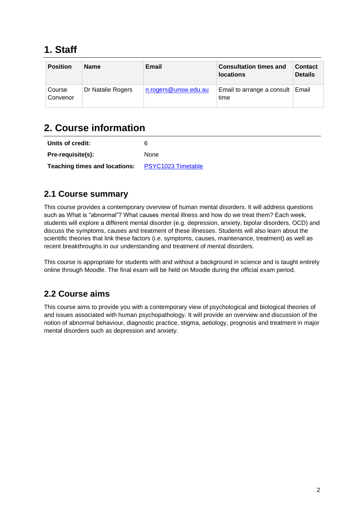## **1. Staff**

| <b>Position</b>    | <b>Name</b>       | Email                | <b>Consultation times and</b><br><b>locations</b> | <b>Contact</b><br><b>Details</b> |
|--------------------|-------------------|----------------------|---------------------------------------------------|----------------------------------|
| Course<br>Convenor | Dr Natalie Rogers | n.rogers@unsw.edu.au | Email to arrange a consult<br>time                | Email                            |

## **2. Course information**

| Units of credit:                                        | 6           |
|---------------------------------------------------------|-------------|
| Pre-requisite(s):                                       | <b>None</b> |
| <b>Teaching times and locations:</b> PSYC1023 Timetable |             |

#### **2.1 Course summary**

This course provides a contemporary overview of human mental disorders. It will address questions such as What is "abnormal"? What causes mental illness and how do we treat them? Each week, students will explore a different mental disorder (e.g. depression, anxiety, bipolar disorders, OCD) and discuss the symptoms, causes and treatment of these illnesses. Students will also learn about the scientific theories that link these factors (i.e. symptoms, causes, maintenance, treatment) as well as recent breakthroughs in our understanding and treatment of mental disorders.

This course is appropriate for students with and without a background in science and is taught entirely online through Moodle. The final exam will be held on Moodle during the official exam period.

#### **2.2 Course aims**

This course aims to provide you with a contemporary view of psychological and biological theories of and issues associated with human psychopathology. It will provide an overview and discussion of the notion of abnormal behaviour, diagnostic practice, stigma, aetiology, prognosis and treatment in major mental disorders such as depression and anxiety.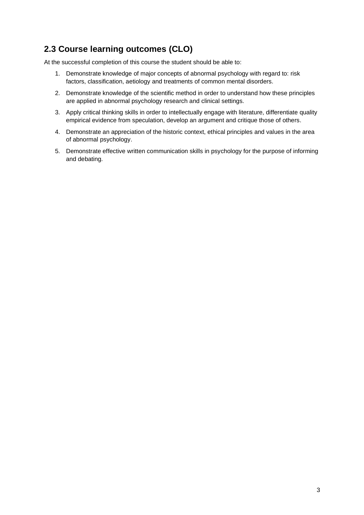#### **2.3 Course learning outcomes (CLO)**

At the successful completion of this course the student should be able to:

- 1. Demonstrate knowledge of major concepts of abnormal psychology with regard to: risk factors, classification, aetiology and treatments of common mental disorders.
- 2. Demonstrate knowledge of the scientific method in order to understand how these principles are applied in abnormal psychology research and clinical settings.
- 3. Apply critical thinking skills in order to intellectually engage with literature, differentiate quality empirical evidence from speculation, develop an argument and critique those of others.
- 4. Demonstrate an appreciation of the historic context, ethical principles and values in the area of abnormal psychology.
- 5. Demonstrate effective written communication skills in psychology for the purpose of informing and debating.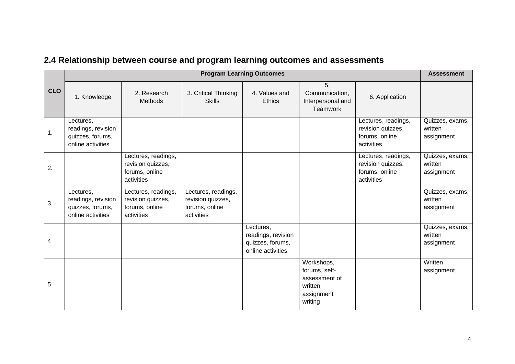|            | <b>Program Learning Outcomes</b>                                         |                                                                          |                                                                          | <b>Assessment</b>                                                        |                                                                                  |                                                                          |                                          |
|------------|--------------------------------------------------------------------------|--------------------------------------------------------------------------|--------------------------------------------------------------------------|--------------------------------------------------------------------------|----------------------------------------------------------------------------------|--------------------------------------------------------------------------|------------------------------------------|
| <b>CLO</b> | 1. Knowledge                                                             | 2. Research<br>Methods                                                   | 3. Critical Thinking<br><b>Skills</b>                                    | 4. Values and<br><b>Ethics</b>                                           | 5.<br>Communication,<br>Interpersonal and<br>Teamwork                            | 6. Application                                                           |                                          |
| 1.         | Lectures,<br>readings, revision<br>quizzes, forums,<br>online activities |                                                                          |                                                                          |                                                                          |                                                                                  | Lectures, readings,<br>revision quizzes,<br>forums, online<br>activities | Quizzes, exams,<br>written<br>assignment |
| 2.         |                                                                          | Lectures, readings,<br>revision quizzes,<br>forums, online<br>activities |                                                                          |                                                                          |                                                                                  | Lectures, readings,<br>revision quizzes,<br>forums, online<br>activities | Quizzes, exams,<br>written<br>assignment |
| 3.         | Lectures,<br>readings, revision<br>quizzes, forums,<br>online activities | Lectures, readings,<br>revision quizzes,<br>forums, online<br>activities | Lectures, readings,<br>revision quizzes,<br>forums, online<br>activities |                                                                          |                                                                                  |                                                                          | Quizzes, exams,<br>written<br>assignment |
| 4          |                                                                          |                                                                          |                                                                          | Lectures,<br>readings, revision<br>quizzes, forums,<br>online activities |                                                                                  |                                                                          | Quizzes, exams,<br>written<br>assignment |
| 5          |                                                                          |                                                                          |                                                                          |                                                                          | Workshops,<br>forums, self-<br>assessment of<br>written<br>assignment<br>writing |                                                                          | Written<br>assignment                    |

## **2.4 Relationship between course and program learning outcomes and assessments**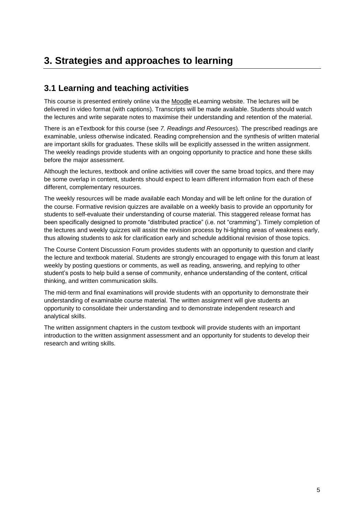### **3. Strategies and approaches to learning**

#### **3.1 Learning and teaching activities**

This course is presented entirely online via the [Moodle](https://moodle.telt.unsw.edu.au/login/index.php) eLearning website. The lectures will be delivered in video format (with captions). Transcripts will be made available. Students should watch the lectures and write separate notes to maximise their understanding and retention of the material.

There is an eTextbook for this course (see *7. Readings and Resources*). The prescribed readings are examinable, unless otherwise indicated. Reading comprehension and the synthesis of written material are important skills for graduates. These skills will be explicitly assessed in the written assignment. The weekly readings provide students with an ongoing opportunity to practice and hone these skills before the major assessment.

Although the lectures, textbook and online activities will cover the same broad topics, and there may be some overlap in content, students should expect to learn different information from each of these different, complementary resources.

The weekly resources will be made available each Monday and will be left online for the duration of the course. Formative revision quizzes are available on a weekly basis to provide an opportunity for students to self-evaluate their understanding of course material. This staggered release format has been specifically designed to promote "distributed practice" (i.e. not "cramming"). Timely completion of the lectures and weekly quizzes will assist the revision process by hi-lighting areas of weakness early, thus allowing students to ask for clarification early and schedule additional revision of those topics.

The Course Content Discussion Forum provides students with an opportunity to question and clarify the lecture and textbook material. Students are strongly encouraged to engage with this forum at least weekly by posting questions or comments, as well as reading, answering, and replying to other student's posts to help build a sense of community, enhance understanding of the content, critical thinking, and written communication skills.

The mid-term and final examinations will provide students with an opportunity to demonstrate their understanding of examinable course material. The written assignment will give students an opportunity to consolidate their understanding and to demonstrate independent research and analytical skills.

The written assignment chapters in the custom textbook will provide students with an important introduction to the written assignment assessment and an opportunity for students to develop their research and writing skills.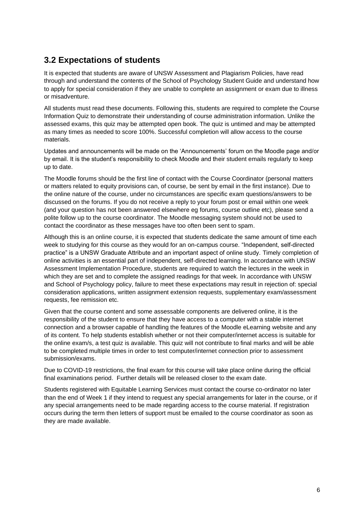#### **3.2 Expectations of students**

It is expected that students are aware of UNSW Assessment and Plagiarism Policies, have read through and understand the contents of the School of Psychology Student Guide and understand how to apply for special consideration if they are unable to complete an assignment or exam due to illness or misadventure.

All students must read these documents. Following this, students are required to complete the Course Information Quiz to demonstrate their understanding of course administration information. Unlike the assessed exams, this quiz may be attempted open book. The quiz is untimed and may be attempted as many times as needed to score 100%. Successful completion will allow access to the course materials.

Updates and announcements will be made on the 'Announcements' forum on the Moodle page and/or by email. It is the student's responsibility to check Moodle and their student emails regularly to keep up to date.

The Moodle forums should be the first line of contact with the Course Coordinator (personal matters or matters related to equity provisions can, of course, be sent by email in the first instance). Due to the online nature of the course, under no circumstances are specific exam questions/answers to be discussed on the forums. If you do not receive a reply to your forum post or email within one week (and your question has not been answered elsewhere eg forums, course outline etc), please send a polite follow up to the course coordinator. The Moodle messaging system should not be used to contact the coordinator as these messages have too often been sent to spam.

Although this is an online course, it is expected that students dedicate the same amount of time each week to studying for this course as they would for an on-campus course. "Independent, self-directed practice" is a UNSW Graduate Attribute and an important aspect of online study. Timely completion of online activities is an essential part of independent, self-directed learning. In accordance with UNSW Assessment Implementation Procedure, students are required to watch the lectures in the week in which they are set and to complete the assigned readings for that week. In accordance with UNSW and School of Psychology policy, failure to meet these expectations may result in rejection of: special consideration applications, written assignment extension requests, supplementary exam/assessment requests, fee remission etc.

Given that the course content and some assessable components are delivered online, it is the responsibility of the student to ensure that they have access to a computer with a stable internet connection and a browser capable of handling the features of the Moodle eLearning website and any of its content. To help students establish whether or not their computer/internet access is suitable for the online exam/s, a test quiz is available. This quiz will not contribute to final marks and will be able to be completed multiple times in order to test computer/internet connection prior to assessment submission/exams.

Due to COVID-19 restrictions, the final exam for this course will take place online during the official final examinations period. Further details will be released closer to the exam date.

Students registered with Equitable Learning Services must contact the course co-ordinator no later than the end of Week 1 if they intend to request any special arrangements for later in the course, or if any special arrangements need to be made regarding access to the course material. If registration occurs during the term then letters of support must be emailed to the course coordinator as soon as they are made available.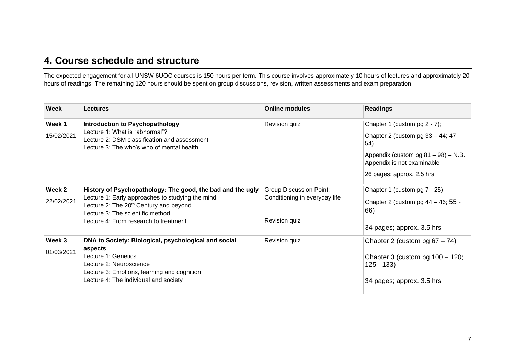#### **4. Course schedule and structure**

The expected engagement for all UNSW 6UOC courses is 150 hours per term. This course involves approximately 10 hours of lectures and approximately 20 hours of readings. The remaining 120 hours should be spent on group discussions, revision, written assessments and exam preparation.

| Week                 | <b>Lectures</b>                                                                                                                                                                                                                                   | <b>Online modules</b>                                                            | <b>Readings</b>                                                                                                                                                             |
|----------------------|---------------------------------------------------------------------------------------------------------------------------------------------------------------------------------------------------------------------------------------------------|----------------------------------------------------------------------------------|-----------------------------------------------------------------------------------------------------------------------------------------------------------------------------|
| Week 1<br>15/02/2021 | <b>Introduction to Psychopathology</b><br>Lecture 1: What is "abnormal"?<br>Lecture 2: DSM classification and assessment<br>Lecture 3: The who's who of mental health                                                                             | Revision quiz                                                                    | Chapter 1 (custom pg 2 - 7);<br>Chapter 2 (custom pg 33 – 44; 47 -<br>54)<br>Appendix (custom pg 81 - 98) - N.B.<br>Appendix is not examinable<br>26 pages; approx. 2.5 hrs |
| Week 2<br>22/02/2021 | History of Psychopathology: The good, the bad and the ugly<br>Lecture 1: Early approaches to studying the mind<br>Lecture 2: The 20 <sup>th</sup> Century and beyond<br>Lecture 3: The scientific method<br>Lecture 4: From research to treatment | <b>Group Discussion Point:</b><br>Conditioning in everyday life<br>Revision quiz | Chapter 1 (custom pg 7 - 25)<br>Chapter 2 (custom pg $44 - 46$ ; 55 -<br>66)<br>34 pages; approx. 3.5 hrs                                                                   |
| Week 3<br>01/03/2021 | DNA to Society: Biological, psychological and social<br>aspects<br>Lecture 1: Genetics<br>Lecture 2: Neuroscience<br>Lecture 3: Emotions, learning and cognition<br>Lecture 4: The individual and society                                         | Revision quiz                                                                    | Chapter 2 (custom pg $67 - 74$ )<br>Chapter 3 (custom pg $100 - 120$ ;<br>$125 - 133$<br>34 pages; approx. 3.5 hrs                                                          |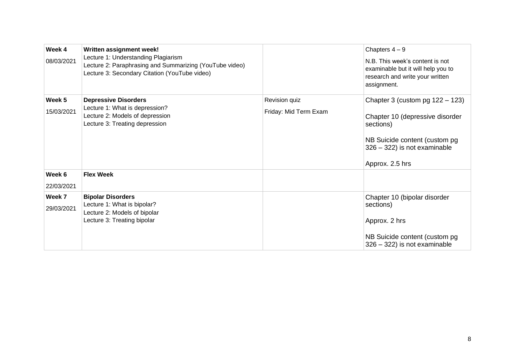| Week 4<br>08/03/2021 | Written assignment week!<br>Lecture 1: Understanding Plagiarism<br>Lecture 2: Paraphrasing and Summarizing (YouTube video)<br>Lecture 3: Secondary Citation (YouTube video) |                                        | Chapters $4-9$<br>N.B. This week's content is not<br>examinable but it will help you to<br>research and write your written<br>assignment.                              |
|----------------------|-----------------------------------------------------------------------------------------------------------------------------------------------------------------------------|----------------------------------------|------------------------------------------------------------------------------------------------------------------------------------------------------------------------|
| Week 5<br>15/03/2021 | <b>Depressive Disorders</b><br>Lecture 1: What is depression?<br>Lecture 2: Models of depression<br>Lecture 3: Treating depression                                          | Revision quiz<br>Friday: Mid Term Exam | Chapter 3 (custom pg $122 - 123$ )<br>Chapter 10 (depressive disorder<br>sections)<br>NB Suicide content (custom pg<br>326 - 322) is not examinable<br>Approx. 2.5 hrs |
| Week 6<br>22/03/2021 | <b>Flex Week</b>                                                                                                                                                            |                                        |                                                                                                                                                                        |
| Week 7<br>29/03/2021 | <b>Bipolar Disorders</b><br>Lecture 1: What is bipolar?<br>Lecture 2: Models of bipolar<br>Lecture 3: Treating bipolar                                                      |                                        | Chapter 10 (bipolar disorder<br>sections)<br>Approx. 2 hrs<br>NB Suicide content (custom pg<br>$326 - 322$ ) is not examinable                                         |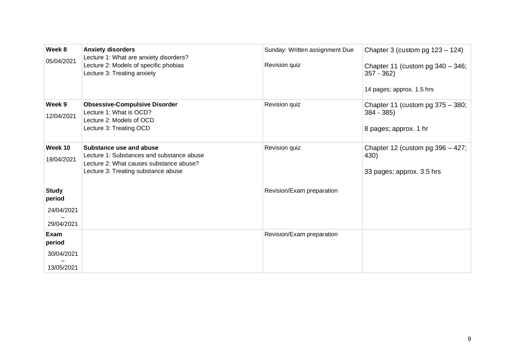| Week 8<br>05/04/2021                               | <b>Anxiety disorders</b><br>Lecture 1: What are anxiety disorders?<br>Lecture 2: Models of specific phobias<br>Lecture 3: Treating anxiety             | Sunday: Written assignment Due<br>Revision quiz | Chapter 3 (custom pg $123 - 124$ )<br>Chapter 11 (custom pg $340 - 346$ ;<br>$357 - 362$<br>14 pages; approx. 1.5 hrs |
|----------------------------------------------------|--------------------------------------------------------------------------------------------------------------------------------------------------------|-------------------------------------------------|-----------------------------------------------------------------------------------------------------------------------|
| Week 9<br>12/04/2021                               | <b>Obsessive-Compulsive Disorder</b><br>Lecture 1: What is OCD?<br>Lecture 2: Models of OCD<br>Lecture 3: Treating OCD                                 | Revision quiz                                   | Chapter 11 (custom pg $375 - 380$ ;<br>$384 - 385$<br>8 pages; approx. 1 hr                                           |
| Week 10<br>19/04/2021                              | Substance use and abuse<br>Lecture 1: Substances and substance abuse<br>Lecture 2: What causes substance abuse?<br>Lecture 3: Treating substance abuse | Revision quiz                                   | Chapter 12 (custom pg $396 - 427$ ;<br>430)<br>33 pages; approx. 3.5 hrs                                              |
| <b>Study</b><br>period<br>24/04/2021<br>29/04/2021 |                                                                                                                                                        | Revision/Exam preparation                       |                                                                                                                       |
| Exam<br>period<br>30/04/2021<br>13/05/2021         |                                                                                                                                                        | Revision/Exam preparation                       |                                                                                                                       |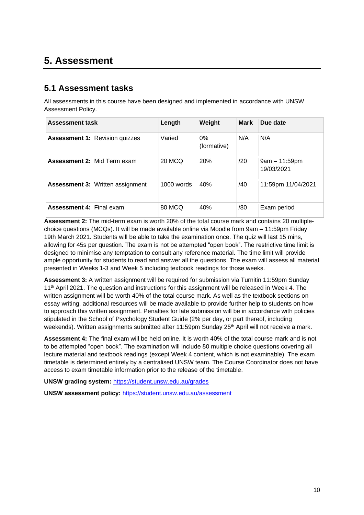#### **5. Assessment**

#### **5.1 Assessment tasks**

All assessments in this course have been designed and implemented in accordance with UNSW Assessment Policy.

| <b>Assessment task</b>                  | Length       | Weight               | <b>Mark</b> | Due date                      |
|-----------------------------------------|--------------|----------------------|-------------|-------------------------------|
| <b>Assessment 1: Revision quizzes</b>   | Varied       | $0\%$<br>(formative) | N/A         | N/A                           |
| <b>Assessment 2: Mid Term exam</b>      | 20 MCQ       | 20%                  | /20         | $9am - 11:59pm$<br>19/03/2021 |
| <b>Assessment 3: Written assignment</b> | $1000$ words | 40%                  | /40         | 11:59pm 11/04/2021            |
| <b>Assessment 4: Final exam</b>         | 80 MCQ       | 40%                  | /80         | Exam period                   |

**Assessment 2:** The mid-term exam is worth 20% of the total course mark and contains 20 multiplechoice questions (MCQs). It will be made available online via Moodle from 9am – 11:59pm Friday 19th March 2021. Students will be able to take the examination once. The quiz will last 15 mins, allowing for 45s per question. The exam is not be attempted "open book". The restrictive time limit is designed to minimise any temptation to consult any reference material. The time limit will provide ample opportunity for students to read and answer all the questions. The exam will assess all material presented in Weeks 1-3 and Week 5 including textbook readings for those weeks.

**Assessment 3:** A written assignment will be required for submission via Turnitin 11:59pm Sunday 11<sup>th</sup> April 2021. The question and instructions for this assignment will be released in Week 4. The written assignment will be worth 40% of the total course mark. As well as the textbook sections on essay writing, additional resources will be made available to provide further help to students on how to approach this written assignment. Penalties for late submission will be in accordance with policies stipulated in the School of Psychology Student Guide (2% per day, or part thereof, including weekends). Written assignments submitted after 11:59pm Sunday 25<sup>th</sup> April will not receive a mark.

**Assessment 4:** The final exam will be held online. It is worth 40% of the total course mark and is not to be attempted "open book". The examination will include 80 multiple choice questions covering all lecture material and textbook readings (except Week 4 content, which is not examinable). The exam timetable is determined entirely by a centralised UNSW team. The Course Coordinator does not have access to exam timetable information prior to the release of the timetable.

**UNSW grading system:** <https://student.unsw.edu.au/grades>

**UNSW assessment policy:** <https://student.unsw.edu.au/assessment>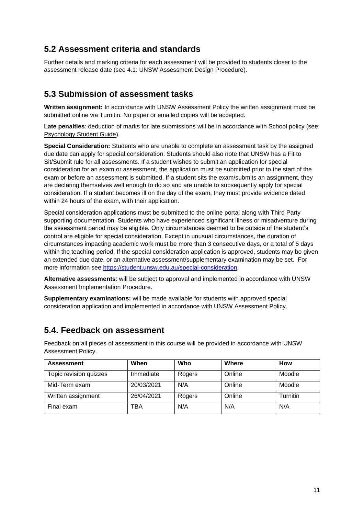#### **5.2 Assessment criteria and standards**

Further details and marking criteria for each assessment will be provided to students closer to the assessment release date (see 4.1: UNSW Assessment Design Procedure).

#### **5.3 Submission of assessment tasks**

**Written assignment:** In accordance with UNSW Assessment Policy the written assignment must be submitted online via Turnitin. No paper or emailed copies will be accepted.

**Late penalties**: deduction of marks for late submissions will be in accordance with School policy (see: [Psychology Student Guide\)](https://moodle.telt.unsw.edu.au/mod/resource/view.php?id=1630526).

**Special Consideration:** Students who are unable to complete an assessment task by the assigned due date can apply for special consideration. Students should also note that UNSW has a Fit to Sit/Submit rule for all assessments. If a student wishes to submit an application for special consideration for an exam or assessment, the application must be submitted prior to the start of the exam or before an assessment is submitted. If a student sits the exam/submits an assignment, they are declaring themselves well enough to do so and are unable to subsequently apply for special consideration. If a student becomes ill on the day of the exam, they must provide evidence dated within 24 hours of the exam, with their application.

Special consideration applications must be submitted to the online portal along with Third Party supporting documentation. Students who have experienced significant illness or misadventure during the assessment period may be eligible. Only circumstances deemed to be outside of the student's control are eligible for special consideration. Except in unusual circumstances, the duration of circumstances impacting academic work must be more than 3 consecutive days, or a total of 5 days within the teaching period. If the special consideration application is approved, students may be given an extended due date, or an alternative assessment/supplementary examination may be set. For more information see [https://student.unsw.edu.au/special-consideration.](https://student.unsw.edu.au/special-consideration)

**Alternative assessments**: will be subject to approval and implemented in accordance with UNSW Assessment Implementation Procedure.

**Supplementary examinations:** will be made available for students with approved special consideration application and implemented in accordance with UNSW Assessment Policy.

#### **5.4. Feedback on assessment**

Feedback on all pieces of assessment in this course will be provided in accordance with UNSW Assessment Policy.

| <b>Assessment</b>      | When       | Who    | Where  | <b>How</b> |
|------------------------|------------|--------|--------|------------|
| Topic revision quizzes | Immediate  | Rogers | Online | Moodle     |
| Mid-Term exam          | 20/03/2021 | N/A    | Online | Moodle     |
| Written assignment     | 26/04/2021 | Rogers | Online | Turnitin   |
| Final exam             | TBA        | N/A    | N/A    | N/A        |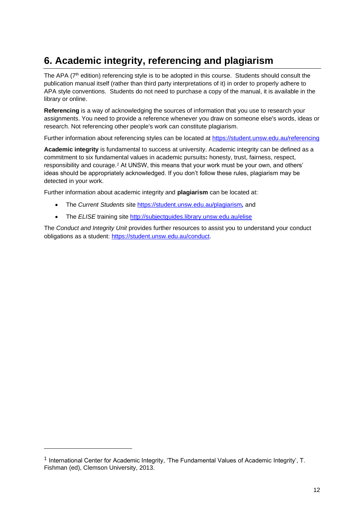## **6. Academic integrity, referencing and plagiarism**

The APA (7<sup>th</sup> edition) referencing style is to be adopted in this course. Students should consult the publication manual itself (rather than third party interpretations of it) in order to properly adhere to APA style conventions. Students do not need to purchase a copy of the manual, it is available in the library or online.

**Referencing** is a way of acknowledging the sources of information that you use to research your assignments. You need to provide a reference whenever you draw on someone else's words, ideas or research. Not referencing other people's work can constitute plagiarism.

Further information about referencing styles can be located at <https://student.unsw.edu.au/referencing>

**Academic integrity** is fundamental to success at university. Academic integrity can be defined as a commitment to six fundamental values in academic pursuits**:** honesty, trust, fairness, respect, responsibility and courage.*<sup>1</sup>* At UNSW, this means that your work must be your own, and others' ideas should be appropriately acknowledged. If you don't follow these rules, plagiarism may be detected in your work.

Further information about academic integrity and **plagiarism** can be located at:

- The *Current Students* site <https://student.unsw.edu.au/plagiarism>*,* and
- The *ELISE* training site <http://subjectguides.library.unsw.edu.au/elise>

The *Conduct and Integrity Unit* provides further resources to assist you to understand your conduct obligations as a student: [https://student.unsw.edu.au/conduct.](https://student.unsw.edu.au/conduct)

<sup>&</sup>lt;sup>1</sup> International Center for Academic Integrity, 'The Fundamental Values of Academic Integrity', T. Fishman (ed), Clemson University, 2013.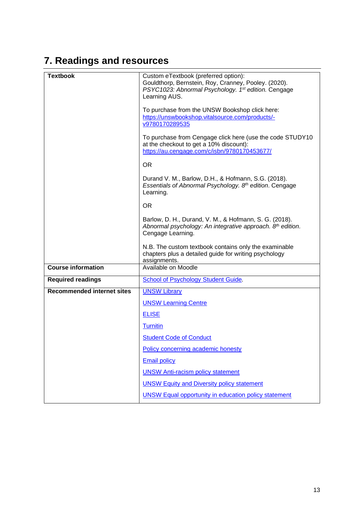## **7. Readings and resources**

| <b>Textbook</b>                   | Custom eTextbook (preferred option):<br>Gouldthorp, Bernstein, Roy, Cranney, Pooley. (2020).<br>PSYC1023: Abnormal Psychology. 1 <sup>st</sup> edition. Cengage<br>Learning AUS.<br>To purchase from the UNSW Bookshop click here:<br>https://unswbookshop.vitalsource.com/products/-<br>v9780170289535<br>To purchase from Cengage click here (use the code STUDY10<br>at the checkout to get a 10% discount):<br>https://au.cengage.com/c/isbn/9780170453677/<br><b>OR</b><br>Durand V. M., Barlow, D.H., & Hofmann, S.G. (2018).<br>Essentials of Abnormal Psychology. 8th edition. Cengage<br>Learning.<br><b>OR</b><br>Barlow, D. H., Durand, V. M., & Hofmann, S. G. (2018).<br>Abnormal psychology: An integrative approach. 8th edition.<br>Cengage Learning. |
|-----------------------------------|-----------------------------------------------------------------------------------------------------------------------------------------------------------------------------------------------------------------------------------------------------------------------------------------------------------------------------------------------------------------------------------------------------------------------------------------------------------------------------------------------------------------------------------------------------------------------------------------------------------------------------------------------------------------------------------------------------------------------------------------------------------------------|
|                                   | N.B. The custom textbook contains only the examinable<br>chapters plus a detailed guide for writing psychology                                                                                                                                                                                                                                                                                                                                                                                                                                                                                                                                                                                                                                                        |
|                                   | assignments.                                                                                                                                                                                                                                                                                                                                                                                                                                                                                                                                                                                                                                                                                                                                                          |
| <b>Course information</b>         | Available on Moodle                                                                                                                                                                                                                                                                                                                                                                                                                                                                                                                                                                                                                                                                                                                                                   |
| <b>Required readings</b>          | <b>School of Psychology Student Guide.</b>                                                                                                                                                                                                                                                                                                                                                                                                                                                                                                                                                                                                                                                                                                                            |
| <b>Recommended internet sites</b> | <b>UNSW Library</b>                                                                                                                                                                                                                                                                                                                                                                                                                                                                                                                                                                                                                                                                                                                                                   |
|                                   | <b>UNSW Learning Centre</b>                                                                                                                                                                                                                                                                                                                                                                                                                                                                                                                                                                                                                                                                                                                                           |
|                                   | <b>ELISE</b>                                                                                                                                                                                                                                                                                                                                                                                                                                                                                                                                                                                                                                                                                                                                                          |
|                                   | <b>Turnitin</b>                                                                                                                                                                                                                                                                                                                                                                                                                                                                                                                                                                                                                                                                                                                                                       |
|                                   | <b>Student Code of Conduct</b>                                                                                                                                                                                                                                                                                                                                                                                                                                                                                                                                                                                                                                                                                                                                        |
|                                   | Policy concerning academic honesty                                                                                                                                                                                                                                                                                                                                                                                                                                                                                                                                                                                                                                                                                                                                    |
|                                   | <b>Email policy</b>                                                                                                                                                                                                                                                                                                                                                                                                                                                                                                                                                                                                                                                                                                                                                   |
|                                   | <b>UNSW Anti-racism policy statement</b>                                                                                                                                                                                                                                                                                                                                                                                                                                                                                                                                                                                                                                                                                                                              |
|                                   | <b>UNSW Equity and Diversity policy statement</b>                                                                                                                                                                                                                                                                                                                                                                                                                                                                                                                                                                                                                                                                                                                     |
|                                   | <b>UNSW Equal opportunity in education policy statement</b>                                                                                                                                                                                                                                                                                                                                                                                                                                                                                                                                                                                                                                                                                                           |